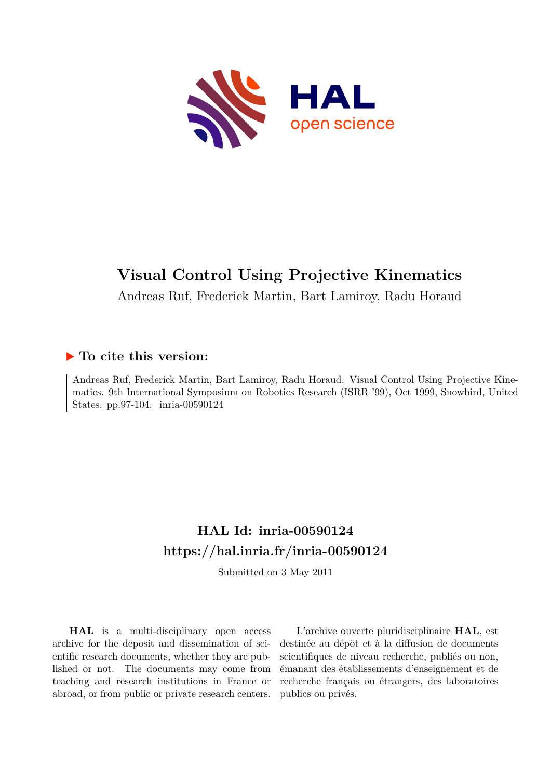

# **Visual Control Using Projective Kinematics**

Andreas Ruf, Frederick Martin, Bart Lamiroy, Radu Horaud

# **To cite this version:**

Andreas Ruf, Frederick Martin, Bart Lamiroy, Radu Horaud. Visual Control Using Projective Kinematics. 9th International Symposium on Robotics Research (ISRR '99), Oct 1999, Snowbird, United States. pp.97-104. inria-00590124

# **HAL Id: inria-00590124 <https://hal.inria.fr/inria-00590124>**

Submitted on 3 May 2011

**HAL** is a multi-disciplinary open access archive for the deposit and dissemination of scientific research documents, whether they are published or not. The documents may come from teaching and research institutions in France or abroad, or from public or private research centers.

L'archive ouverte pluridisciplinaire **HAL**, est destinée au dépôt et à la diffusion de documents scientifiques de niveau recherche, publiés ou non, émanant des établissements d'enseignement et de recherche français ou étrangers, des laboratoires publics ou privés.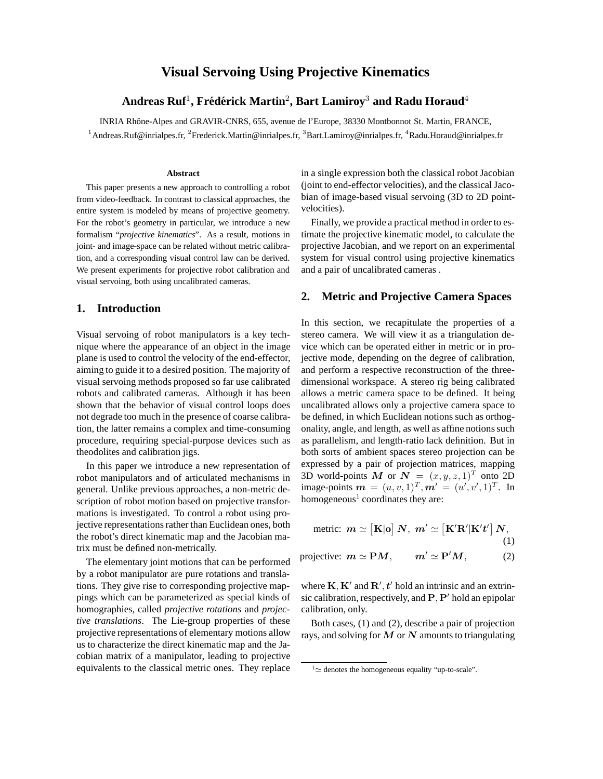# **Visual Servoing Using Projective Kinematics**

# **Andreas Ruf**<sup>1</sup>**, Fred´ erick Martin ´** <sup>2</sup>**, Bart Lamiroy**<sup>3</sup> **and Radu Horaud**<sup>4</sup>

INRIA Rhˆone-Alpes and GRAVIR-CNRS, 655, avenue de l'Europe, 38330 Montbonnot St. Martin, FRANCE, <sup>1</sup>Andreas.Ruf@inrialpes.fr, <sup>2</sup>Frederick.Martin@inrialpes.fr, <sup>3</sup>Bart.Lamiroy@inrialpes.fr, <sup>4</sup>Radu.Horaud@inrialpes.fr

#### **Abstract**

This paper presents a new approach to controlling a robot from video-feedback. In contrast to classical approaches, the entire system is modeled by means of projective geometry. For the robot's geometry in particular, we introduce a new formalism "*projective kinematics*". As a result, motions in joint- and image-space can be related without metric calibration, and a corresponding visual control law can be derived. We present experiments for projective robot calibration and visual servoing, both using uncalibrated cameras.

### **1. Introduction**

Visual servoing of robot manipulators is a key technique where the appearance of an object in the image plane is used to control the velocity of the end-effector, aiming to guide it to a desired position. The majority of visual servoing methods proposed so far use calibrated robots and calibrated cameras. Although it has been shown that the behavior of visual control loops does not degrade too much in the presence of coarse calibration, the latter remains a complex and time-consuming procedure, requiring special-purpose devices such as theodolites and calibration jigs.

In this paper we introduce a new representation of robot manipulators and of articulated mechanisms in general. Unlike previous approaches, a non-metric description of robot motion based on projective transformations is investigated. To control a robot using projective representations rather than Euclidean ones, both the robot's direct kinematic map and the Jacobian matrix must be defined non-metrically.

The elementary joint motions that can be performed by a robot manipulator are pure rotations and translations. They give rise to corresponding projective mappings which can be parameterized as special kinds of homographies, called *projective rotations* and *projective translations*. The Lie-group properties of these projective representations of elementary motions allow us to characterize the direct kinematic map and the Jacobian matrix of a manipulator, leading to projective equivalents to the classical metric ones. They replace

in a single expression both the classical robot Jacobian (joint to end-effector velocities), and the classical Jacobian of image-based visual servoing (3D to 2D pointvelocities).

Finally, we provide a practical method in order to estimate the projective kinematic model, to calculate the projective Jacobian, and we report on an experimental system for visual control using projective kinematics and a pair of uncalibrated cameras .

## **2. Metric and Projective Camera Spaces**

In this section, we recapitulate the properties of a stereo camera. We will view it as a triangulation device which can be operated either in metric or in projective mode, depending on the degree of calibration, and perform a respective reconstruction of the threedimensional workspace. A stereo rig being calibrated allows a metric camera space to be defined. It being uncalibrated allows only a projective camera space to be defined, in which Euclidean notions such as orthogonality, angle, and length, as well as affine notions such as parallelism, and length-ratio lack definition. But in both sorts of ambient spaces stereo projection can be expressed by a pair of projection matrices, mapping 3D world-points M or  $N = (x, y, z, 1)^T$  onto 2D image-points  $m = (u, v, 1)^T, m' = (u', v', 1)^T$ . In homogeneous<sup>1</sup> coordinates they are:

metric: 
$$
m \simeq [\mathbf{K}|\mathbf{o}] N
$$
,  $m' \simeq [\mathbf{K}'\mathbf{R}'|\mathbf{K}'t'] N$ , (1)

projective: 
$$
m \simeq PM
$$
,  $m' \simeq P'M$ , (2)

where  $\mathbf{K}, \mathbf{K}'$  and  $\mathbf{R}', \mathbf{t}'$  hold an intrinsic and an extrinsic calibration, respectively, and  $P$ ,  $P'$  hold an epipolar calibration, only.

Both cases, (1) and (2), describe a pair of projection rays, and solving for *M* or *N* amounts to triangulating

 $1 \approx$  denotes the homogeneous equality "up-to-scale".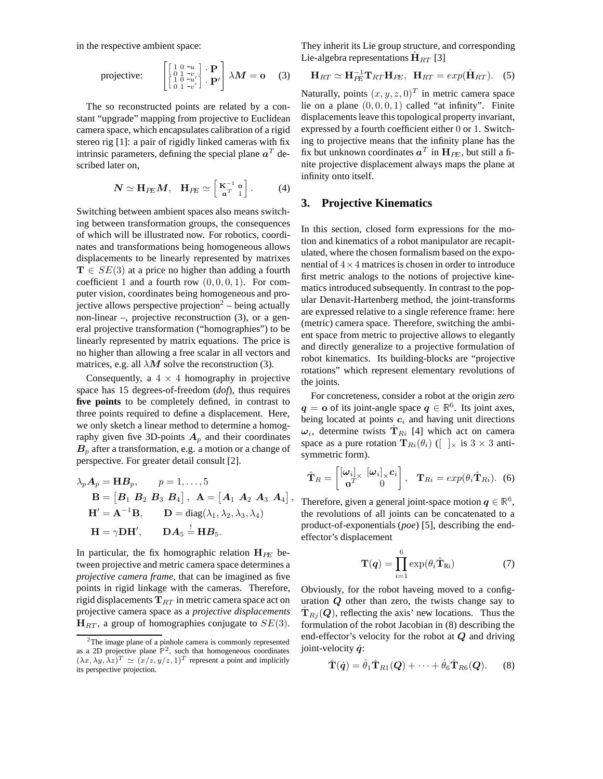in the respective ambient space:

projective: 
$$
\begin{bmatrix} \begin{bmatrix} 1 & 0 & -u \\ 0 & 1 & -v \\ 1 & 0 & -u' \\ 0 & 1 & -v' \end{bmatrix} \cdot \mathbf{P}' \end{bmatrix} \lambda \mathbf{M} = \mathbf{0} \quad (3)
$$

The so reconstructed points are related by a constant "upgrade" mapping from projective to Euclidean camera space, which encapsulates calibration of a rigid stereo rig [1]: a pair of rigidly linked cameras with fix intrinsic parameters, defining the special plane  $a<sup>T</sup>$  described later on,

$$
N \simeq \mathbf{H}_{PE} M, \quad \mathbf{H}_{PE} \simeq \begin{bmatrix} \mathbf{K}^{-1} & \mathbf{o} \\ \mathbf{a}^T & 1 \end{bmatrix} . \tag{4}
$$

Switching between ambient spaces also means switching between transformation groups, the consequences of which will be illustrated now. For robotics, coordinates and transformations being homogeneous allows displacements to be linearly represented by matrixes  $\mathbf{T} \in SE(3)$  at a price no higher than adding a fourth coefficient 1 and a fourth row  $(0, 0, 0, 1)$ . For computer vision, coordinates being homogeneous and projective allows perspective projection<sup>2</sup> – being actually non-linear –, projective reconstruction (3), or a general projective transformation ("homographies") to be linearly represented by matrix equations. The price is no higher than allowing a free scalar in all vectors and matrices, e.g. all  $\lambda M$  solve the reconstruction (3).

Consequently, a  $4 \times 4$  homography in projective space has 15 degrees-of-freedom (*dof*), thus requires **five points** to be completely defined, in contrast to three points required to define a displacement. Here, we only sketch a linear method to determine a homography given five 3D-points  $A_p$  and their coordinates  $B_p$  after a transformation, e.g. a motion or a change of perspective. For greater detail consult [2].

$$
\lambda_p A_p = \mathbf{H} B_p, \qquad p = 1, \dots, 5
$$
  
\n
$$
\mathbf{B} = [\mathbf{B}_1 \ \mathbf{B}_2 \ \mathbf{B}_3 \ \mathbf{B}_4], \ \mathbf{A} = [\mathbf{A}_1 \ \mathbf{A}_2 \ \mathbf{A}_3 \ \mathbf{A}_4],
$$
  
\n
$$
\mathbf{H}' = \mathbf{A}^{-1} \mathbf{B}, \qquad \mathbf{D} = \text{diag}(\lambda_1, \lambda_2, \lambda_3, \lambda_4)
$$
  
\n
$$
\mathbf{H} = \gamma \mathbf{D} \mathbf{H}', \qquad \mathbf{D} \mathbf{A}_5 = \mathbf{H} \mathbf{B}_5.
$$

In particular, the fix homographic relation  $H_{PE}$  between projective and metric camera space determines a *projective camera frame*, that can be imagined as five points in rigid linkage with the cameras. Therefore, rigid displacements  $T_{RT}$  in metric camera space act on projective camera space as a *projective displacements* **, a group of homographies conjugate to**  $SE(3)$ **.** 

They inherit its Lie group structure, and corresponding Lie-algebra representations  $\mathbf{H}_{RT}$  [3]

$$
\mathbf{H}_{RT} \simeq \mathbf{H}_{PE}^{-1} \mathbf{T}_{RT} \mathbf{H}_{PE}, \ \ \mathbf{H}_{RT} = exp(\hat{\mathbf{H}}_{RT}). \tag{5}
$$

Naturally, points  $(x, y, z, 0)^T$  in metric camera space lie on a plane  $(0, 0, 0, 1)$  called "at infinity". Finite displacements leave this topological property invariant, expressed by a fourth coefficient either 0 or 1. Switching to projective means that the infinity plane has the fix but unknown coordinates  $a^T$  in  $\mathbf{H}_{PE}$ , but still a finite projective displacement always maps the plane at infinity onto itself.

# **3. Projective Kinematics**

In this section, closed form expressions for the motion and kinematics of a robot manipulator are recapitulated, where the chosen formalism based on the exponential of  $4 \times 4$  matrices is chosen in order to introduce first metric analogs to the notions of projective kinematics introduced subsequently. In contrast to the popular Denavit-Hartenberg method, the joint-transforms are expressed relative to a single reference frame: here (metric) camera space. Therefore, switching the ambient space from metric to projective allows to elegantly and directly generalize to a projective formulation of robot kinematics. Its building-blocks are "projective rotations" which represent elementary revolutions of the joints.

For concreteness, consider a robot at the origin *zero q* = **o** of its joint-angle space  $q \in \mathbb{R}^6$ . Its joint axes, being located at points  $c_i$  and having unit directions  $\omega_i$ , determine twists  $\mathbf{T}_{R_i}$  [4] which act on camera space as a pure rotation  $\mathbf{T}_{Ri}(\theta_i)$  ([ ]<sub>×</sub> is 3 × 3 antisymmetric form).

$$
\hat{\mathbf{T}}_R = \begin{bmatrix} [\boldsymbol{\omega}_i]_{\times} & [\boldsymbol{\omega}_i]_{\times} \boldsymbol{c}_i \\ \mathbf{o}^T & 0 \end{bmatrix}, \quad \mathbf{T}_{Ri} = exp(\theta_i \hat{\mathbf{T}}_{Ri}). \tag{6}
$$

Therefore, given a general joint-space motion  $q \in \mathbb{R}^6$ , the revolutions of all joints can be concatenated to a product-of-exponentials (*poe*) [5], describing the endeffector's displacement

$$
\mathbf{T}(q) = \prod_{i=1}^{6} \exp(\theta_i \hat{\mathbf{T}}_{\text{Ri}})
$$
 (7)

Obviously, for the robot haveing moved to a configuration *Q* other than zero, the twists change say to  ${\bf \hat{T}}_{Ri} ({\bf Q})$ , reflecting the axis' new locations. Thus the formulation of the robot Jacobian in (8) describing the end-effector's velocity for the robot at *Q* and driving joint-velocity *q*˙:

$$
\hat{\mathbf{T}}(\dot{\boldsymbol{q}}) = \dot{\theta}_1 \hat{\mathbf{T}}_{R1}(\boldsymbol{Q}) + \cdots + \dot{\theta}_6 \hat{\mathbf{T}}_{R6}(\boldsymbol{Q}).
$$
 (8)

<sup>&</sup>lt;sup>2</sup>The image plane of a pinhole camera is commonly represented as a 2D projective plane  $\mathbb{P}^2$ , such that homogeneous coordinates  $(\lambda x, \lambda y, \lambda z)^T \simeq (x/z, y/z, 1)^T$  represent a point and implicitly its perspective projection.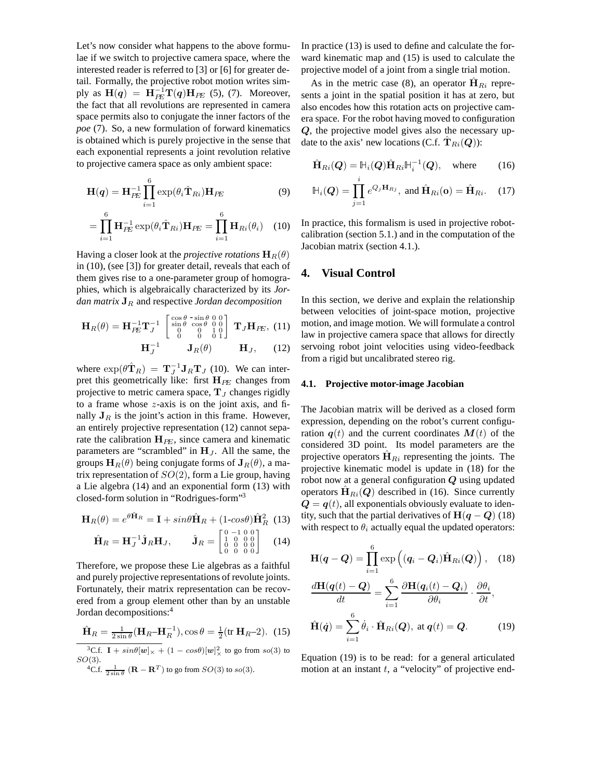Let's now consider what happens to the above formulae if we switch to projective camera space, where the interested reader is referred to [3] or [6] for greater detail. Formally, the projective robot motion writes simply as  $H(q) = H_{PE}^{-1}T(q)H_{PE}$  (5), (7). Moreover, the fact that all revolutions are represented in camera space permits also to conjugate the inner factors of the *poe* (7). So, a new formulation of forward kinematics is obtained which is purely projective in the sense that each exponential represents a joint revolution relative to projective camera space as only ambient space:

$$
\mathbf{H}(q) = \mathbf{H}_{PE}^{-1} \prod_{i=1}^{6} \exp(\theta_i \hat{\mathbf{T}}_{Ri}) \mathbf{H}_{PE}
$$
(9)

$$
= \prod_{i=1}^{6} \mathbf{H}_{PE}^{-1} \exp(\theta_i \hat{\mathbf{T}}_{Ri}) \mathbf{H}_{PE} = \prod_{i=1}^{6} \mathbf{H}_{Ri}(\theta_i) \quad (10)
$$

Having a closer look at the *projective rotations*  $\mathbf{H}_R(\theta)$ in (10), (see [3]) for greater detail, reveals that each of them gives rise to a one-parameter group of homographies, which is algebraically characterized by its *Jordan matrix* **J**<sup>R</sup> and respective *Jordan decomposition*

$$
\mathbf{H}_{R}(\theta) = \mathbf{H}_{PE}^{-1} \mathbf{T}_{J}^{-1} \begin{bmatrix} \cos \theta & -\sin \theta & 0 & 0 \\ \sin \theta & \cos \theta & 0 & 0 \\ 0 & 0 & 1 & 0 \\ 0 & 0 & 0 & 1 \end{bmatrix} \mathbf{T}_{J} \mathbf{H}_{PE}, (11)
$$

$$
\mathbf{H}_{J}^{-1} \mathbf{J}_{R}(\theta) \mathbf{H}_{J}, (12)
$$

where  $\exp(\theta \hat{\mathbf{T}}_R) = \mathbf{T}_J^{-1} \mathbf{J}_R \mathbf{T}_J$  (10). We can interpret this geometrically like: first  $H_{PE}$  changes from projective to metric camera space,  $T_J$  changes rigidly to a frame whose  $z$ -axis is on the joint axis, and finally  $J_R$  is the joint's action in this frame. However, an entirely projective representation (12) cannot separate the calibration  $H_{PE}$ , since camera and kinematic parameters are "scrambled" in  $H_J$ . All the same, the groups  $\mathbf{H}_R(\theta)$  being conjugate forms of  $\mathbf{J}_R(\theta)$ , a matrix representation of  $SO(2)$ , form a Lie group, having a Lie algebra (14) and an exponential form (13) with closed-form solution in "Rodrigues-form"3

$$
\mathbf{H}_R(\theta) = e^{\theta \hat{\mathbf{H}}_R} = \mathbf{I} + sin\theta \hat{\mathbf{H}}_R + (1 - cos\theta) \hat{\mathbf{H}}_R^2
$$
 (13)

$$
\hat{\mathbf{H}}_R = \mathbf{H}_J^{-1} \hat{\mathbf{J}}_R \mathbf{H}_J, \qquad \hat{\mathbf{J}}_R = \begin{bmatrix} 0 & -1 & 0 & 0 \\ 1 & 0 & 0 & 0 \\ 0 & 0 & 0 & 0 \\ 0 & 0 & 0 & 0 \end{bmatrix} \tag{14}
$$

Therefore, we propose these Lie algebras as a faithful and purely projective representations of revolute joints. Fortunately, their matrix representation can be recovered from a group element other than by an unstable Jordan decompositions:4

$$
\hat{\mathbf{H}}_R = \frac{1}{2\sin\theta} (\mathbf{H}_R - \mathbf{H}_R^{-1}), \cos\theta = \frac{1}{2} (\text{tr } \mathbf{H}_R - 2). \tag{15}
$$

<sup>3</sup>C.f. **I** +  $sin\theta[\mathbf{w}]_{\times} + (1 - cos\theta)[\mathbf{w}]_{\times}^{2}$  to go from  $so(3)$  to  $SO(3)$ . <sup>4</sup>C.f.  $\frac{1}{2 \sin \theta} (\mathbf{R} - \mathbf{R}^T)$  to go from  $SO(3)$  to  $so(3)$ .

In practice (13) is used to define and calculate the forward kinematic map and (15) is used to calculate the projective model of a joint from a single trial motion.

As in the metric case (8), an operator  $\mathbf{H}_{Ri}$  represents a joint in the spatial position it has at zero, but also encodes how this rotation acts on projective camera space. For the robot having moved to configuration *Q*, the projective model gives also the necessary update to the axis' new locations (C.f.  $T_{Ri}(Q)$ ):

$$
\hat{\mathbf{H}}_{Ri}(\boldsymbol{Q}) = \mathbb{H}_i(\boldsymbol{Q}) \hat{\mathbf{H}}_{Ri} \mathbb{H}_i^{-1}(\boldsymbol{Q}), \quad \text{where} \tag{16}
$$

$$
\mathbb{H}_i(Q) = \prod_{j=1}^i e^{Q_j \mathbf{H}_{Rj}}, \text{ and } \hat{\mathbf{H}}_{Ri}(\mathbf{o}) = \hat{\mathbf{H}}_{Ri}. \quad (17)
$$

In practice, this formalism is used in projective robotcalibration (section 5.1.) and in the computation of the Jacobian matrix (section 4.1.).

# **4. Visual Control**

In this section, we derive and explain the relationship between velocities of joint-space motion, projective motion, and image motion. We will formulate a control law in projective camera space that allows for directly servoing robot joint velocities using video-feedback from a rigid but uncalibrated stereo rig.

#### **4.1. Projective motor-image Jacobian**

The Jacobian matrix will be derived as a closed form expression, depending on the robot's current configuration  $q(t)$  and the current coordinates  $M(t)$  of the considered 3D point. Its model parameters are the projective operators  $H_{Ri}$  representing the joints. The projective kinematic model is update in (18) for the robot now at a general configuration *Q* using updated operators  $\hat{H}_{Ri}(Q)$  described in (16). Since currently  $Q = q(t)$ , all exponentials obviously evaluate to identity, such that the partial derivatives of  $H(q - Q)$  (18) with respect to  $\theta_i$  actually equal the updated operators:

$$
\mathbf{H}(\boldsymbol{q} - \boldsymbol{Q}) = \prod_{i=1}^{6} \exp\left( (\boldsymbol{q}_i - \boldsymbol{Q}_i) \hat{\mathbf{H}}_{Ri}(\boldsymbol{Q}) \right), \quad (18)
$$

$$
\frac{d\mathbf{H}(\boldsymbol{q}(t) - \boldsymbol{Q})}{dt} = \sum_{i=1}^{6} \frac{\partial \mathbf{H}(\boldsymbol{q}_i(t) - \boldsymbol{Q}_i)}{\partial \theta_i} \cdot \frac{\partial \theta_i}{\partial t},
$$
\n
$$
\hat{\mathbf{H}}(\dot{\boldsymbol{q}}) = \sum_{i=1}^{6} \dot{\theta}_i \cdot \hat{\mathbf{H}}_{Ri}(\boldsymbol{Q}), \text{ at } \boldsymbol{q}(t) = \boldsymbol{Q}.
$$
\n(19)

Equation (19) is to be read: for a general articulated motion at an instant  $t$ , a "velocity" of projective end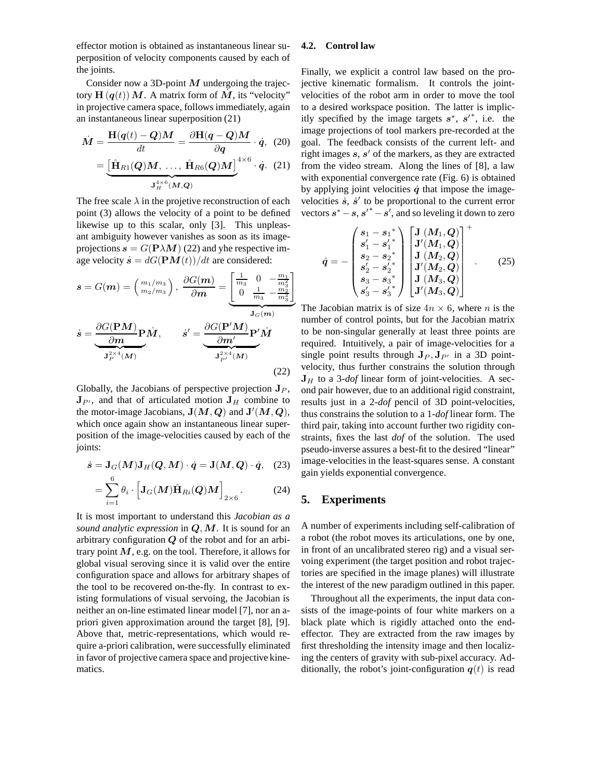effector motion is obtained as instantaneous linear superposition of velocity components caused by each of the joints.

Consider now a 3D-point *M* undergoing the trajectory  $\mathbf{H}(\mathbf{q}(t))$  M. A matrix form of M, its "velocity" in projective camera space, follows immediately, again an instantaneous linear superposition (21)

$$
\dot{M} = \frac{\mathbf{H}(q(t) - Q)M}{dt} = \frac{\partial \mathbf{H}(q - Q)M}{\partial q} \cdot \dot{q}, (20)
$$

$$
= \underbrace{\left[\hat{\mathbf{H}}_{R1}(Q)M, \dots, \hat{\mathbf{H}}_{R6}(Q)M\right]}_{\mathbf{J}_{H}^{4 \times 6}(M,Q)}
$$

The free scale  $\lambda$  in the projetive reconstruction of each point (3) allows the velocity of a point to be defined likewise up to this scalar, only [3]. This unpleasant ambiguity however vanishes as soon as its imageprojections  $s = G(P \lambda M)$  (22) and yhe respective image velocity  $\dot{s} = dG(\mathbf{P}\mathbf{M}(t))/dt$  are considered:

$$
\mathbf{s} = G(\mathbf{m}) = \begin{pmatrix} m_1/m_3 \\ m_2/m_3 \end{pmatrix}, \frac{\partial G(\mathbf{m})}{\partial \mathbf{m}} = \underbrace{\begin{bmatrix} \frac{1}{m_3} & 0 & -\frac{m_1}{m_3^2} \\ 0 & \frac{1}{m_3} & -\frac{m_2}{m_3^2} \end{bmatrix}}_{\mathbf{J}_G(\mathbf{m})}
$$
\n
$$
\dot{\mathbf{s}} = \underbrace{\frac{\partial G(\mathbf{P}M)}{\partial \mathbf{m}} \mathbf{P} \dot{M}}_{\mathbf{J}_P^{2 \times 4}(\mathbf{M})}, \qquad \dot{\mathbf{s}}' = \underbrace{\frac{\partial G(\mathbf{P}'M)}{\partial \mathbf{m}'} \mathbf{P}' \dot{M}}_{\mathbf{J}_P^{2 \times 4}(\mathbf{M})}
$$
\n(22)

Globally, the Jacobians of perspective projection  $J_P$ ,  $\mathbf{J}_{P'}$ , and that of articulated motion  $\mathbf{J}_H$  combine to the motor-image Jacobians,  $J(M, Q)$  and  $J'(M, Q)$ , which once again show an instantaneous linear superposition of the image-velocities caused by each of the joints:

$$
\dot{s} = \mathbf{J}_{G}(M)\mathbf{J}_{H}(Q, M) \cdot \dot{q} = \mathbf{J}(M, Q) \cdot \dot{q}, \quad (23)
$$

$$
=\sum_{i=1}^{6}\theta_{i}\cdot\left[\mathbf{J}_{G}(M)\hat{\mathbf{H}}_{Ri}(Q)M\right]_{2\times6}.\tag{24}
$$

It is most important to understand this *Jacobian as a sound analytic expression* in *Q*,*M*. It is sound for an arbitrary configuration *Q* of the robot and for an arbitrary point *M*, e.g. on the tool. Therefore, it allows for global visual seroving since it is valid over the entire configuration space and allows for arbitrary shapes of the tool to be recovered on-the-fly. In contrast to existing formulations of visual servoing, the Jacobian is neither an on-line estimated linear model [7], nor an apriori given approximation around the target [8], [9]. Above that, metric-representations, which would require a-priori calibration, were successfully eliminated in favor of projective camera space and projective kinematics.

#### **4.2. Control law**

Finally, we explicit a control law based on the projective kinematic formalism. It controls the jointvelocities of the robot arm in order to move the tool to a desired workspace position. The latter is implicitly specified by the image targets  $s^*$ ,  $s'^*$ , i.e. the image projections of tool markers pre-recorded at the goal. The feedback consists of the current left- and right images  $s$ ,  $s'$  of the markers, as they are extracted from the video stream. Along the lines of [8], a law with exponential convergence rate (Fig. 6) is obtained by applying joint velocities  $\dot{q}$  that impose the imagevelocities  $\dot{s}$ ,  $\dot{s}'$  to be proportional to the current error vectors  $s^* - s$ ,  $s'^* - s'$ , and so leveling it down to zero

$$
\dot{q} = -\begin{pmatrix} s_1 - s_1^* \\ s'_1 - s'_1^* \\ s_2 - s_2^* \\ s'_2 - s'_2^* \\ s_3 - s_3^* \\ s'_3 - s'_3^* \end{pmatrix} \begin{bmatrix} \mathbf{J}(M_1, Q) \\ \mathbf{J}'(M_1, Q) \\ \mathbf{J}(M_2, Q) \\ \mathbf{J}'(M_2, Q) \\ \mathbf{J}(M_3, Q) \\ \mathbf{J}'(M_3, Q) \end{bmatrix}^+ .
$$
 (25)

 $\pm$  +

The Jacobian matrix is of size  $4n \times 6$ , where *n* is the number of control points, but for the Jacobian matrix to be non-singular generally at least three points are required. Intuitively, a pair of image-velocities for a single point results through  $J_P$ ,  $J_{P'}$  in a 3D pointvelocity, thus further constrains the solution through  $J_H$  to a 3-*dof* linear form of joint-velocities. A second pair however, due to an additional rigid constraint, results just in a 2-*dof* pencil of 3D point-velocities, thus constrains the solution to a 1-*dof* linear form. The third pair, taking into account further two rigidity constraints, fixes the last *dof* of the solution. The used pseudo-inverse assures a best-fit to the desired "linear" image-velocities in the least-squares sense. A constant gain yields exponential convergence.

#### **5. Experiments**

A number of experiments including self-calibration of a robot (the robot moves its articulations, one by one, in front of an uncalibrated stereo rig) and a visual servoing experiment (the target position and robot trajectories are specified in the image planes) will illustrate the interest of the new paradigm outlined in this paper.

Throughout all the experiments, the input data consists of the image-points of four white markers on a black plate which is rigidly attached onto the endeffector. They are extracted from the raw images by first thresholding the intensity image and then localizing the centers of gravity with sub-pixel accuracy. Additionally, the robot's joint-configuration  $q(t)$  is read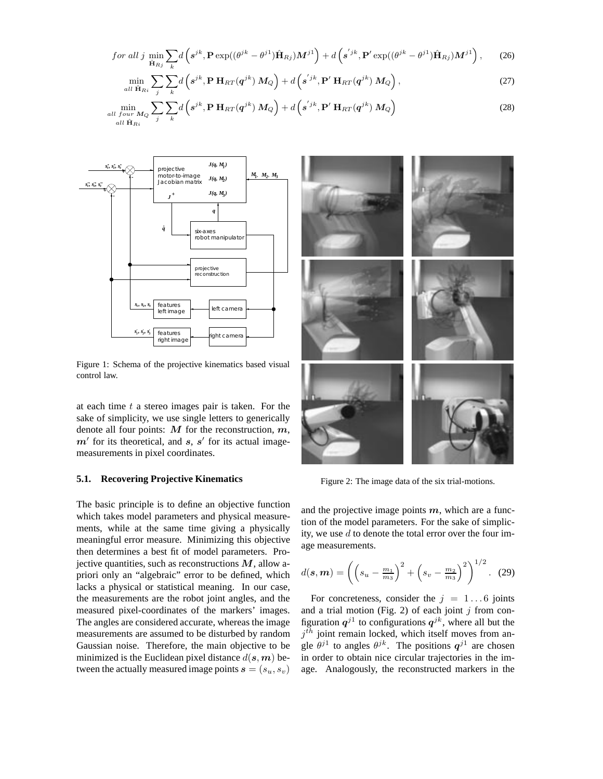$$
for\ all\ j\ \min_{\hat{\mathbf{H}}_{Rj}}\sum_{k}d\left(s^{jk},\mathbf{P}\exp((\theta^{jk}-\theta^{j1})\hat{\mathbf{H}}_{Rj})M^{j1}\right)+d\left(s^{'jk},\mathbf{P}'\exp((\theta^{jk}-\theta^{j1})\hat{\mathbf{H}}_{Rj})M^{j1}\right),\qquad(26)
$$

$$
\min_{all \ \hat{\mathbf{H}}_{Ri}} \sum_{j} \sum_{k} d\left(s^{jk}, \mathbf{P} \ \mathbf{H}_{RT}(\boldsymbol{q}^{jk}) \ M_Q\right) + d\left(s^{'jk}, \mathbf{P}' \ \mathbf{H}_{RT}(\boldsymbol{q}^{jk}) \ M_Q\right),\tag{27}
$$

$$
\min_{\substack{all \; four \; M_Q}} \sum_{j} \sum_{k} d\left(s^{jk}, \mathbf{P} \; \mathbf{H}_{RT}(q^{jk}) \; M_Q\right) + d\left(s^{'jk}, \mathbf{P}' \; \mathbf{H}_{RT}(q^{jk}) \; M_Q\right) \tag{28}
$$



Figure 1: Schema of the projective kinematics based visual control law.

at each time  $t$  a stereo images pair is taken. For the sake of simplicity, we use single letters to generically denote all four points: *M* for the reconstruction, *m*,  $m'$  for its theoretical, and *s*, *s'* for its actual imagemeasurements in pixel coordinates.

#### **5.1. Recovering Projective Kinematics**

The basic principle is to define an objective function which takes model parameters and physical measurements, while at the same time giving a physically meaningful error measure. Minimizing this objective then determines a best fit of model parameters. Projective quantities, such as reconstructions *M*, allow apriori only an "algebraic" error to be defined, which lacks a physical or statistical meaning. In our case, the measurements are the robot joint angles, and the measured pixel-coordinates of the markers' images. The angles are considered accurate, whereas the image measurements are assumed to be disturbed by random Gaussian noise. Therefore, the main objective to be minimized is the Euclidean pixel distance  $d(s, m)$  between the actually measured image points  $\mathbf{s} = (s_u, s_v)$ 



Figure 2: The image data of the six trial-motions.

and the projective image points *m*, which are a function of the model parameters. For the sake of simplicity, we use  $d$  to denote the total error over the four image measurements.

$$
d(\mathbf{s}, \mathbf{m}) = \left( \left( s_u - \frac{m_1}{m_3} \right)^2 + \left( s_v - \frac{m_2}{m_3} \right)^2 \right)^{1/2} . \tag{29}
$$

For concreteness, consider the  $j = 1...6$  joints and a trial motion (Fig. 2) of each joint  $j$  from configuration  $q^{j1}$  to configurations  $q^{jk}$ , where all but the  $j<sup>th</sup>$  joint remain locked, which itself moves from angle  $\theta^{j1}$  to angles  $\theta^{jk}$ . The positions  $q^{j1}$  are chosen in order to obtain nice circular trajectories in the image. Analogously, the reconstructed markers in the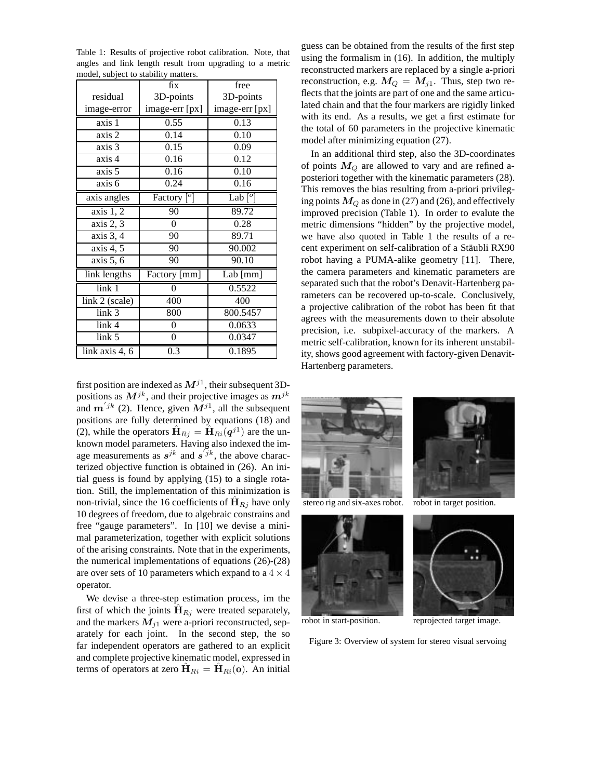Table 1: Results of projective robot calibration. Note, that angles and link length result from upgrading to a metric model, subject to stability matters.

|                            | fix                                                            | free                       |
|----------------------------|----------------------------------------------------------------|----------------------------|
| residual                   | 3D-points                                                      | 3D-points                  |
| image-error                | image-err [px]                                                 | image-err [px]             |
| axis 1                     | 0.55                                                           | 0.13                       |
| axis 2                     | 0.14                                                           | 0.10                       |
| axis 3                     | 0.15                                                           | 0.09                       |
| axis 4                     | 0.16                                                           | 0.12                       |
| axis 5                     | 0.16                                                           | 0.10                       |
| $\overline{axis}$ 6        | 0.24                                                           | 0.16                       |
| axis angles                | $\left[ \begin{matrix} 0 \\ 1 \end{matrix} \right]$<br>Factory | Lab $\lbrack$ <sup>o</sup> |
| axis 1, 2                  | 90                                                             | 89.72                      |
| axis 2, 3                  | $\boldsymbol{0}$                                               | 0.28                       |
| axis 3, 4                  | 90                                                             | 89.71                      |
| axis 4, 5                  | 90                                                             | 90.002                     |
| axis 5, 6                  | 90                                                             | 90.10                      |
| link lengths               | Factory [mm]                                                   | Lab $[mm]$                 |
| $\overline{\text{link}}$ 1 | $\overline{0}$                                                 | 0.5522                     |
| link 2 (scale)             | 400                                                            | 400                        |
| link <sub>3</sub>          | 800                                                            | 800.5457                   |
| link <sub>4</sub>          | 0                                                              | 0.0633                     |
| link 5                     | 0                                                              | 0.0347                     |
| link axis 4, 6             | 0.3                                                            | 0.1895                     |

first position are indexed as  $M^{j1}$ , their subsequent 3Dpositions as  $M^{jk}$ , and their projective images as  $m^{jk}$ and  $m^{ijk}$  (2). Hence, given  $M^{j1}$ , all the subsequent positions are fully determined by equations (18) and (2), while the operators  $\hat{\mathbf{H}}_{Rj} = \hat{\mathbf{H}}_{Ri}(\boldsymbol{q}^{j1})$  are the unknown model parameters. Having also indexed the image measurements as  $s^{jk}$  and  $s^{'jk}$ , the above characterized objective function is obtained in (26). An initial guess is found by applying (15) to a single rotation. Still, the implementation of this minimization is non-trivial, since the 16 coefficients of  $\mathbf{H}_{Rj}$  have only 10 degrees of freedom, due to algebraic constrains and free "gauge parameters". In [10] we devise a minimal parameterization, together with explicit solutions of the arising constraints. Note that in the experiments, the numerical implementations of equations (26)-(28) are over sets of 10 parameters which expand to a  $4 \times 4$ operator.

We devise a three-step estimation process, im the first of which the joints  $\mathbf{H}_{Rj}$  were treated separately, and the markers  $M_{j1}$  were a-priori reconstructed, separately for each joint. In the second step, the so far independent operators are gathered to an explicit and complete projective kinematic model, expressed in terms of operators at zero  $\mathbf{\hat{H}}_{Ri} = \mathbf{\hat{H}}_{Ri}(\mathbf{o})$ . An initial

guess can be obtained from the results of the first step using the formalism in (16). In addition, the multiply reconstructed markers are replaced by a single a-priori reconstruction, e.g.  $M_Q = M_{i1}$ . Thus, step two reflects that the joints are part of one and the same articulated chain and that the four markers are rigidly linked with its end. As a results, we get a first estimate for the total of 60 parameters in the projective kinematic model after minimizing equation (27).

In an additional third step, also the 3D-coordinates of points  $M_Q$  are allowed to vary and are refined aposteriori together with the kinematic parameters (28). This removes the bias resulting from a-priori privileging points  $M_Q$  as done in (27) and (26), and effectively improved precision (Table 1). In order to evalute the metric dimensions "hidden" by the projective model, we have also quoted in Table 1 the results of a recent experiment on self-calibration of a Stäubli RX90 robot having a PUMA-alike geometry [11]. There, the camera parameters and kinematic parameters are separated such that the robot's Denavit-Hartenberg parameters can be recovered up-to-scale. Conclusively, a projective calibration of the robot has been fit that agrees with the measurements down to their absolute precision, i.e. subpixel-accuracy of the markers. A metric self-calibration, known for its inherent unstability, shows good agreement with factory-given Denavit-Hartenberg parameters.











robot in start-position. reprojected target image.

Figure 3: Overview of system for stereo visual servoing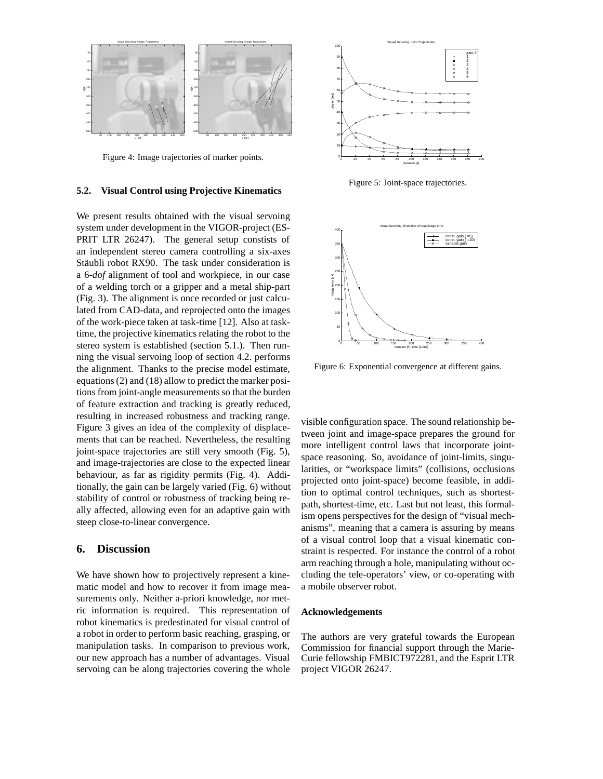

Figure 4: Image trajectories of marker points.

#### **5.2. Visual Control using Projective Kinematics**

We present results obtained with the visual servoing system under development in the VIGOR-project (ES-PRIT LTR 26247). The general setup constists of an independent stereo camera controlling a six-axes Stäubli robot RX90. The task under consideration is a 6-*dof* alignment of tool and workpiece, in our case of a welding torch or a gripper and a metal ship-part (Fig. 3). The alignment is once recorded or just calculated from CAD-data, and reprojected onto the images of the work-piece taken at task-time [12]. Also at tasktime, the projective kinematics relating the robot to the stereo system is established (section 5.1.). Then running the visual servoing loop of section 4.2. performs the alignment. Thanks to the precise model estimate, equations (2) and (18) allow to predict the marker positions from joint-angle measurements so that the burden of feature extraction and tracking is greatly reduced, resulting in increased robustness and tracking range. Figure 3 gives an idea of the complexity of displacements that can be reached. Nevertheless, the resulting joint-space trajectories are still very smooth (Fig. 5), and image-trajectories are close to the expected linear behaviour, as far as rigidity permits (Fig. 4). Additionally, the gain can be largely varied (Fig. 6) without stability of control or robustness of tracking being really affected, allowing even for an adaptive gain with steep close-to-linear convergence.

# **6. Discussion**

We have shown how to projectively represent a kinematic model and how to recover it from image measurements only. Neither a-priori knowledge, nor metric information is required. This representation of robot kinematics is predestinated for visual control of a robot in order to perform basic reaching, grasping, or manipulation tasks. In comparison to previous work, our new approach has a number of advantages. Visual servoing can be along trajectories covering the whole



Figure 5: Joint-space trajectories.



Figure 6: Exponential convergence at different gains.

visible configuration space. The sound relationship between joint and image-space prepares the ground for more intelligent control laws that incorporate jointspace reasoning. So, avoidance of joint-limits, singularities, or "workspace limits" (collisions, occlusions projected onto joint-space) become feasible, in addition to optimal control techniques, such as shortestpath, shortest-time, etc. Last but not least, this formalism opens perspectives for the design of "visual mechanisms", meaning that a camera is assuring by means of a visual control loop that a visual kinematic constraint is respected. For instance the control of a robot arm reaching through a hole, manipulating without occluding the tele-operators' view, or co-operating with a mobile observer robot.

#### **Acknowledgements**

The authors are very grateful towards the European Commission for financial support through the Marie-Curie fellowship FMBICT972281, and the Esprit LTR project VIGOR 26247.